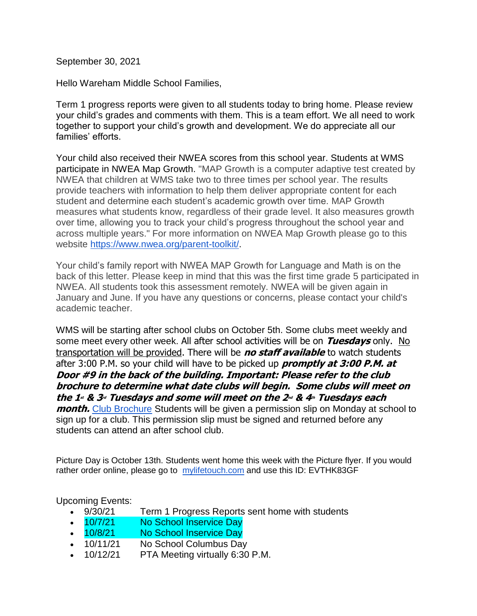September 30, 2021

Hello Wareham Middle School Families,

Term 1 progress reports were given to all students today to bring home. Please review your child's grades and comments with them. This is a team effort. We all need to work together to support your child's growth and development. We do appreciate all our families' efforts.

Your child also received their NWEA scores from this school year. Students at WMS participate in NWEA Map Growth. "MAP Growth is a computer adaptive test created by NWEA that children at WMS take two to three times per school year. The results provide teachers with information to help them deliver appropriate content for each student and determine each student's academic growth over time. MAP Growth measures what students know, regardless of their grade level. It also measures growth over time, allowing you to track your child's progress throughout the school year and across multiple years." For more information on NWEA Map Growth please go to this website [https://www.nwea.org/parent-toolkit/.](https://www.nwea.org/parent-toolkit/)

Your child's family report with NWEA MAP Growth for Language and Math is on the back of this letter. Please keep in mind that this was the first time grade 5 participated in NWEA. All students took this assessment remotely. NWEA will be given again in January and June. If you have any questions or concerns, please contact your child's academic teacher.

WMS will be starting after school clubs on October 5th. Some clubs meet weekly and some meet every other week. All after school activities will be on **Tuesdays** only. No transportation will be provided. There will be **no staff available** to watch students after 3:00 P.M. so your child will have to be picked up **promptly at 3:00 P.M. at Door #9 in the back of the building. Important: Please refer to the club brochure to determine what date clubs will begin. Some clubs will meet on the 1st & 3rd Tuesdays and some will meet on the 2nd & 4th Tuesdays each month.** [Club Brochure](https://docs.google.com/document/d/14QU8exetyXLRF7E1EjnjPDcCIjfjBP8Z/edit) Students will be given a permission slip on Monday at school to sign up for a club. This permission slip must be signed and returned before any students can attend an after school club.

Picture Day is October 13th. Students went home this week with the Picture flyer. If you would rather order online, please go to [mylifetouch.com](http://mylifetouch.com/) and use this ID: EVTHK83GF

Upcoming Events:

- 9/30/21 Term 1 Progress Reports sent home with students
- 10/7/21 No School Inservice Day
- 10/8/21 No School Inservice Day
- 10/11/21 No School Columbus Day
- 10/12/21 PTA Meeting virtually 6:30 P.M.